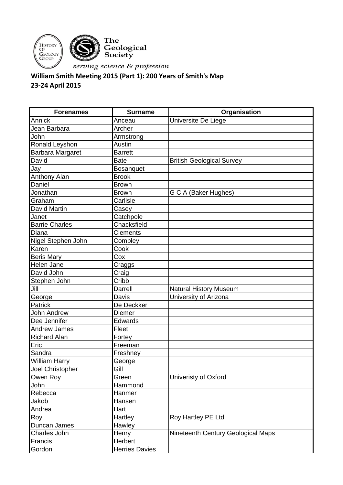

## **William Smith Meeting 2015 (Part 1): 200 Years of Smith's Map 23-24 April 2015**

| <b>Forenames</b>      | <b>Surname</b>        | Organisation                       |
|-----------------------|-----------------------|------------------------------------|
| Annick                | Anceau                | Universite De Liege                |
| Jean Barbara          | Archer                |                                    |
| John                  | Armstrong             |                                    |
| Ronald Leyshon        | Austin                |                                    |
| Barbara Margaret      | <b>Barrett</b>        |                                    |
| David                 | <b>Bate</b>           | <b>British Geological Survey</b>   |
| Jay                   | Bosanquet             |                                    |
| Anthony Alan          | <b>Brook</b>          |                                    |
| Daniel                | <b>Brown</b>          |                                    |
| Jonathan              | <b>Brown</b>          | G C A (Baker Hughes)               |
| Graham                | Carlisle              |                                    |
| <b>David Martin</b>   | Casey                 |                                    |
| Janet                 | Catchpole             |                                    |
| <b>Barrie Charles</b> | Chacksfield           |                                    |
| Diana                 | <b>Clements</b>       |                                    |
| Nigel Stephen John    | Combley               |                                    |
| Karen                 | Cook                  |                                    |
| <b>Beris Mary</b>     | Cox                   |                                    |
| Helen Jane            | Craggs                |                                    |
| David John            | Craig                 |                                    |
| Stephen John          | Cribb                 |                                    |
| Jill                  | Darrell               | <b>Natural History Museum</b>      |
| George                | Davis                 | University of Arizona              |
| Patrick               | De Deckker            |                                    |
| <b>John Andrew</b>    | <b>Diemer</b>         |                                    |
| Dee Jennifer          | Edwards               |                                    |
| <b>Andrew James</b>   | Fleet                 |                                    |
| <b>Richard Alan</b>   | Fortey                |                                    |
| Eric                  | Freeman               |                                    |
| Sandra                | Freshney              |                                    |
| <b>William Harry</b>  | George                |                                    |
| Joel Christopher      | Gill                  |                                    |
| Owen Roy              | Green                 | Univeristy of Oxford               |
| John                  | Hammond               |                                    |
| Rebecca               | Hanmer                |                                    |
| Jakob                 | Hansen                |                                    |
| Andrea                | Hart                  |                                    |
| Roy                   | Hartley               | Roy Hartley PE Ltd                 |
| Duncan James          | Hawley                |                                    |
| Charles John          | Henry                 | Nineteenth Century Geological Maps |
| Francis               | Herbert               |                                    |
| Gordon                | <b>Herries Davies</b> |                                    |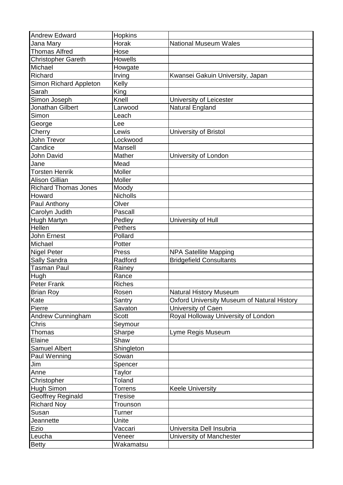| <b>Andrew Edward</b>        | <b>Hopkins</b> |                                                    |
|-----------------------------|----------------|----------------------------------------------------|
| Jana Mary                   | Horak          | <b>National Museum Wales</b>                       |
| <b>Thomas Alfred</b>        | Hose           |                                                    |
| <b>Christopher Gareth</b>   | <b>Howells</b> |                                                    |
| Michael                     | Howgate        |                                                    |
| Richard                     | Irving         | Kwansei Gakuin University, Japan                   |
| Simon Richard Appleton      | Kelly          |                                                    |
| Sarah                       | King           |                                                    |
| Simon Joseph                | Knell          | University of Leicester                            |
| Jonathan Gilbert            | Larwood        | Natural England                                    |
| Simon                       | Leach          |                                                    |
| George                      | Lee            |                                                    |
| Cherry                      | Lewis          | University of Bristol                              |
| John Trevor                 | Lockwood       |                                                    |
| Candice                     | Mansell        |                                                    |
| John David                  | Mather         | University of London                               |
| Jane                        | Mead           |                                                    |
| <b>Torsten Henrik</b>       | Moller         |                                                    |
| <b>Alison Gillian</b>       | Moller         |                                                    |
| <b>Richard Thomas Jones</b> | Moody          |                                                    |
| Howard                      | Nicholls       |                                                    |
| Paul Anthony                | Olver          |                                                    |
| Carolyn Judith              | Pascall        |                                                    |
| Hugh Martyn                 | Pedley         | University of Hull                                 |
| Hellen                      | <b>Pethers</b> |                                                    |
| John Ernest                 | Pollard        |                                                    |
| Michael                     | Potter         |                                                    |
| Nigel Peter                 | Press          | <b>NPA Satellite Mapping</b>                       |
| Sally Sandra                | Radford        | <b>Bridgefield Consultants</b>                     |
| <b>Tasman Paul</b>          | Rainey         |                                                    |
| Hugh                        | Rance          |                                                    |
| Peter Frank                 | <b>Riches</b>  |                                                    |
| <b>Brian Roy</b>            | Rosen          | <b>Natural History Museum</b>                      |
| Kate                        | Santry         | <b>Oxford University Museum of Natural History</b> |
| Pierre                      | Savaton        | University of Caen                                 |
| Andrew Cunningham           | <b>Scott</b>   | Royal Holloway University of London                |
| Chris                       | Seymour        |                                                    |
| Thomas                      | Sharpe         | Lyme Regis Museum                                  |
| Elaine                      | Shaw           |                                                    |
| <b>Samuel Albert</b>        | Shingleton     |                                                    |
| Paul Wenning                | Sowan          |                                                    |
| Jim                         | Spencer        |                                                    |
| Anne                        | Taylor         |                                                    |
| Christopher                 | <b>Toland</b>  |                                                    |
| Hugh Simon                  | Torrens        | <b>Keele University</b>                            |
| <b>Geoffrey Reginald</b>    | <b>Tresise</b> |                                                    |
| <b>Richard Noy</b>          | Trounson       |                                                    |
| Susan                       | Turner         |                                                    |
| Jeannette                   | Unite          |                                                    |
| Ezio                        | Vaccari        | Universita Dell Insubria                           |
| Leucha                      | Veneer         | University of Manchester                           |
| <b>Betty</b>                | Wakamatsu      |                                                    |
|                             |                |                                                    |